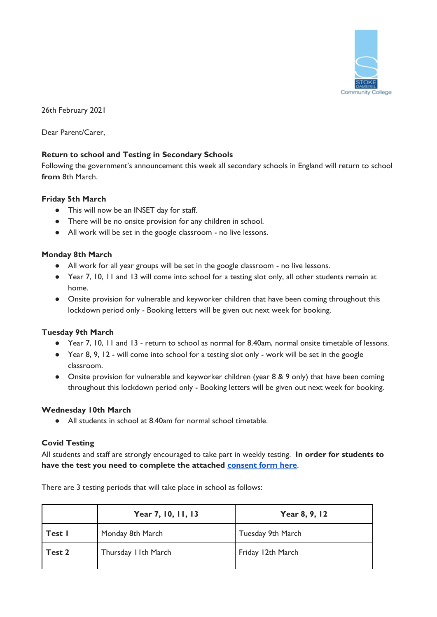

26th February 2021

Dear Parent/Carer,

### **Return to school and Testing in Secondary Schools**

Following the government's announcement this week all secondary schools in England will return to school **from** 8th March.

#### **Friday 5th March**

- This will now be an INSET day for staff.
- There will be no onsite provision for any children in school.
- All work will be set in the google classroom no live lessons.

### **Monday 8th March**

- All work for all year groups will be set in the google classroom no live lessons.
- Year 7, 10, 11 and 13 will come into school for a testing slot only, all other students remain at home.
- Onsite provision for vulnerable and keyworker children that have been coming throughout this lockdown period only - Booking letters will be given out next week for booking.

# **Tuesday 9th March**

- Year 7, 10, 11 and 13 return to school as normal for 8.40am, normal onsite timetable of lessons.
- Year 8, 9, 12 will come into school for a testing slot only work will be set in the google classroom.
- Onsite provision for vulnerable and keyworker children (year 8 & 9 only) that have been coming throughout this lockdown period only - Booking letters will be given out next week for booking.

#### **Wednesday 10th March**

● All students in school at 8.40am for normal school timetable.

# **Covid Testing**

All students and staff are strongly encouraged to take part in weekly testing. **In order for students to have the test you need to complete the attached [consent form here](https://forms.gle/bKqK1JiPxEjovFAC7)**.

There are 3 testing periods that will take place in school as follows:

|        | Year 7, 10, 11, 13   | Year 8, 9, 12     |
|--------|----------------------|-------------------|
| Test I | Monday 8th March     | Tuesday 9th March |
| Test 2 | Thursday I Ith March | Friday 12th March |